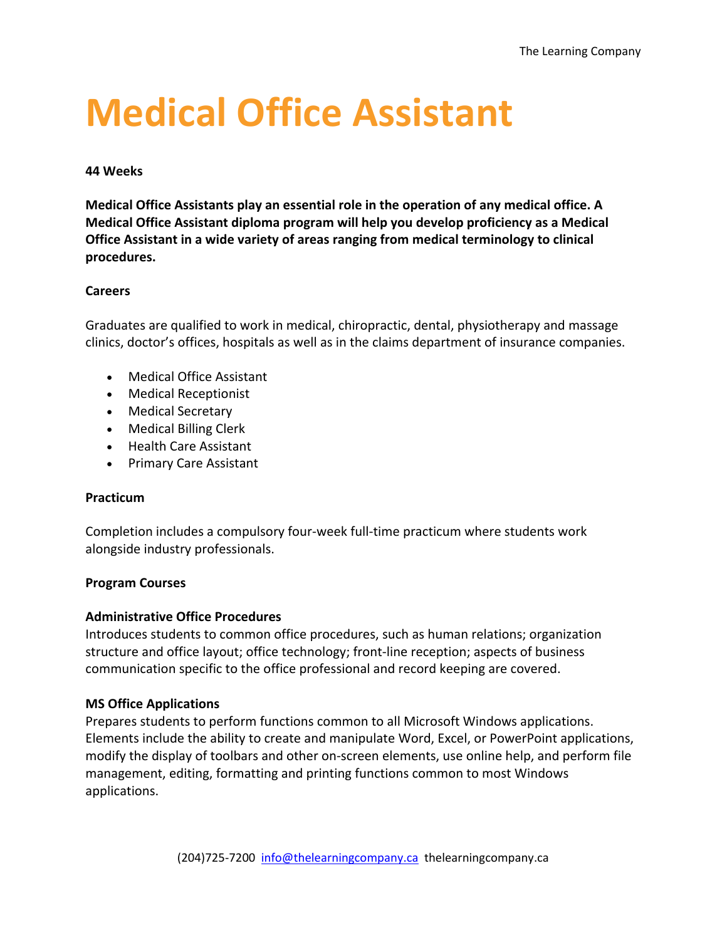# **Medical Office Assistant**

#### **44 Weeks**

**Medical Office Assistants play an essential role in the operation of any medical office. A Medical Office Assistant diploma program will help you develop proficiency as a Medical Office Assistant in a wide variety of areas ranging from medical terminology to clinical procedures.**

#### **Careers**

Graduates are qualified to work in medical, chiropractic, dental, physiotherapy and massage clinics, doctor's offices, hospitals as well as in the claims department of insurance companies.

- Medical Office Assistant
- Medical Receptionist
- Medical Secretary
- Medical Billing Clerk
- Health Care Assistant
- Primary Care Assistant

#### **Practicum**

Completion includes a compulsory four-week full-time practicum where students work alongside industry professionals.

#### **Program Courses**

#### **Administrative Office Procedures**

Introduces students to common office procedures, such as human relations; organization structure and office layout; office technology; front-line reception; aspects of business communication specific to the office professional and record keeping are covered.

#### **MS Office Applications**

Prepares students to perform functions common to all Microsoft Windows applications. Elements include the ability to create and manipulate Word, Excel, or PowerPoint applications, modify the display of toolbars and other on-screen elements, use online help, and perform file management, editing, formatting and printing functions common to most Windows applications.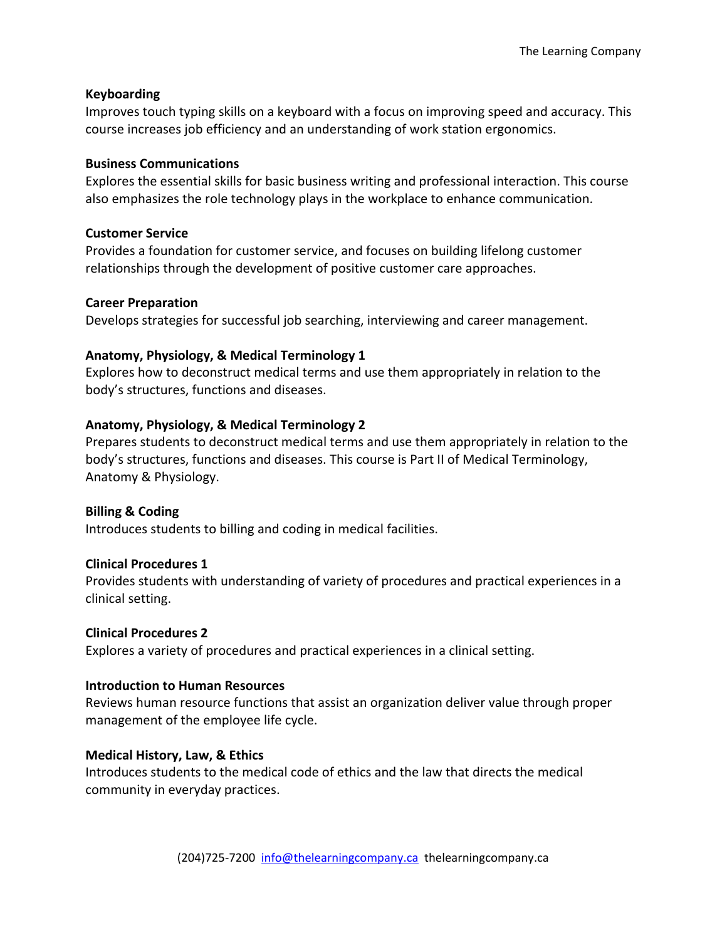# **Keyboarding**

Improves touch typing skills on a keyboard with a focus on improving speed and accuracy. This course increases job efficiency and an understanding of work station ergonomics.

# **Business Communications**

Explores the essential skills for basic business writing and professional interaction. This course also emphasizes the role technology plays in the workplace to enhance communication.

#### **Customer Service**

Provides a foundation for customer service, and focuses on building lifelong customer relationships through the development of positive customer care approaches.

# **Career Preparation**

Develops strategies for successful job searching, interviewing and career management.

# **Anatomy, Physiology, & Medical Terminology 1**

Explores how to deconstruct medical terms and use them appropriately in relation to the body's structures, functions and diseases.

# **Anatomy, Physiology, & Medical Terminology 2**

Prepares students to deconstruct medical terms and use them appropriately in relation to the body's structures, functions and diseases. This course is Part II of Medical Terminology, Anatomy & Physiology.

# **Billing & Coding**

Introduces students to billing and coding in medical facilities.

# **Clinical Procedures 1**

Provides students with understanding of variety of procedures and practical experiences in a clinical setting.

#### **Clinical Procedures 2**

Explores a variety of procedures and practical experiences in a clinical setting.

#### **Introduction to Human Resources**

Reviews human resource functions that assist an organization deliver value through proper management of the employee life cycle.

#### **Medical History, Law, & Ethics**

Introduces students to the medical code of ethics and the law that directs the medical community in everyday practices.